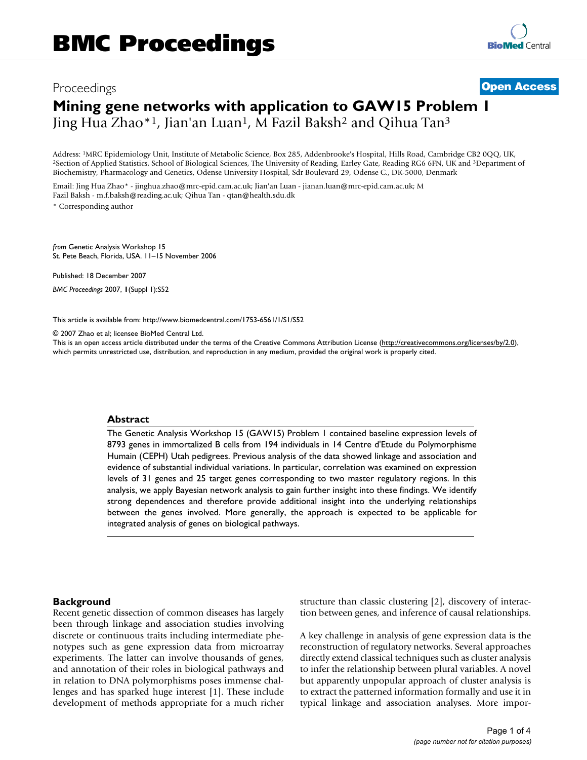# Proceedings **[Open Access](http://www.biomedcentral.com/info/about/charter/) Mining gene networks with application to GAW15 Problem 1** Jing Hua Zhao\*<sup>1</sup>, Jian'an Luan<sup>1</sup>, M Fazil Baksh<sup>2</sup> and Qihua Tan<sup>3</sup>

Address: <sup>1</sup>MRC Epidemiology Unit, Institute of Metabolic Science, Box 285, Addenbrooke's Hospital, Hills Road, Cambridge CB2 0QQ, UK,<br><sup>2</sup>Section of Applied Statistics, School of Biological Sciences, The University of Read Biochemistry, Pharmacology and Genetics, Odense University Hospital, Sdr Boulevard 29, Odense C., DK-5000, Denmark

Email: Jing Hua Zhao\* - jinghua.zhao@mrc-epid.cam.ac.uk; Jian'an Luan - jianan.luan@mrc-epid.cam.ac.uk; M Fazil Baksh - m.f.baksh@reading.ac.uk; Qihua Tan - qtan@health.sdu.dk \* Corresponding author

*from* Genetic Analysis Workshop 15 St. Pete Beach, Florida, USA. 11–15 November 2006

Published: 18 December 2007

*BMC Proceedings* 2007, **1**(Suppl 1):S52

[This article is available from: http://www.biomedcentral.com/1753-6561/1/S1/S52](http://www.biomedcentral.com/1753-6561/1/S1/S52)

© 2007 Zhao et al; licensee BioMed Central Ltd.

This is an open access article distributed under the terms of the Creative Commons Attribution License [\(http://creativecommons.org/licenses/by/2.0\)](http://creativecommons.org/licenses/by/2.0), which permits unrestricted use, distribution, and reproduction in any medium, provided the original work is properly cited.

#### **Abstract**

The Genetic Analysis Workshop 15 (GAW15) Problem 1 contained baseline expression levels of 8793 genes in immortalized B cells from 194 individuals in 14 Centre d'Etude du Polymorphisme Humain (CEPH) Utah pedigrees. Previous analysis of the data showed linkage and association and evidence of substantial individual variations. In particular, correlation was examined on expression levels of 31 genes and 25 target genes corresponding to two master regulatory regions. In this analysis, we apply Bayesian network analysis to gain further insight into these findings. We identify strong dependences and therefore provide additional insight into the underlying relationships between the genes involved. More generally, the approach is expected to be applicable for integrated analysis of genes on biological pathways.

#### **Background**

Recent genetic dissection of common diseases has largely been through linkage and association studies involving discrete or continuous traits including intermediate phenotypes such as gene expression data from microarray experiments. The latter can involve thousands of genes, and annotation of their roles in biological pathways and in relation to DNA polymorphisms poses immense challenges and has sparked huge interest [1]. These include development of methods appropriate for a much richer structure than classic clustering [2], discovery of interaction between genes, and inference of causal relationships.

A key challenge in analysis of gene expression data is the reconstruction of regulatory networks. Several approaches directly extend classical techniques such as cluster analysis to infer the relationship between plural variables. A novel but apparently unpopular approach of cluster analysis is to extract the patterned information formally and use it in typical linkage and association analyses. More impor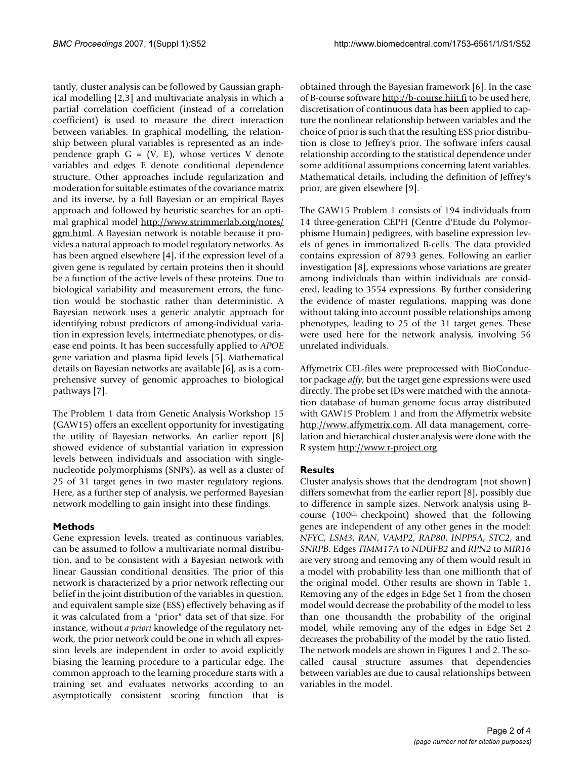tantly, cluster analysis can be followed by Gaussian graphical modelling [2,3] and multivariate analysis in which a partial correlation coefficient (instead of a correlation coefficient) is used to measure the direct interaction between variables. In graphical modelling, the relationship between plural variables is represented as an independence graph  $G = (V, E)$ , whose vertices V denote variables and edges E denote conditional dependence structure. Other approaches include regularization and moderation for suitable estimates of the covariance matrix and its inverse, by a full Bayesian or an empirical Bayes approach and followed by heuristic searches for an optimal graphical model [http://www.strimmerlab.org/notes/](http://www.strimmerlab.org/notes/ggm.html) [ggm.html](http://www.strimmerlab.org/notes/ggm.html). A Bayesian network is notable because it provides a natural approach to model regulatory networks. As has been argued elsewhere [4], if the expression level of a given gene is regulated by certain proteins then it should be a function of the active levels of these proteins. Due to biological variability and measurement errors, the function would be stochastic rather than deterministic. A Bayesian network uses a generic analytic approach for identifying robust predictors of among-individual variation in expression levels, intermediate phenotypes, or disease end points. It has been successfully applied to *APOE* gene variation and plasma lipid levels [5]. Mathematical details on Bayesian networks are available [6], as is a comprehensive survey of genomic approaches to biological pathways [7].

The Problem 1 data from Genetic Analysis Workshop 15 (GAW15) offers an excellent opportunity for investigating the utility of Bayesian networks. An earlier report [8] showed evidence of substantial variation in expression levels between individuals and association with singlenucleotide polymorphisms (SNPs), as well as a cluster of 25 of 31 target genes in two master regulatory regions. Here, as a further step of analysis, we performed Bayesian network modelling to gain insight into these findings.

# **Methods**

Gene expression levels, treated as continuous variables, can be assumed to follow a multivariate normal distribution, and to be consistent with a Bayesian network with linear Gaussian conditional densities. The prior of this network is characterized by a prior network reflecting our belief in the joint distribution of the variables in question, and equivalent sample size (ESS) effectively behaving as if it was calculated from a "prior" data set of that size. For instance, without *a priori* knowledge of the regulatory network, the prior network could be one in which all expression levels are independent in order to avoid explicitly biasing the learning procedure to a particular edge. The common approach to the learning procedure starts with a training set and evaluates networks according to an asymptotically consistent scoring function that is obtained through the Bayesian framework [6]. In the case of B-course software<http://b-course.hiit.fi> to be used here, discretisation of continuous data has been applied to capture the nonlinear relationship between variables and the choice of prior is such that the resulting ESS prior distribution is close to Jeffrey's prior. The software infers causal relationship according to the statistical dependence under some additional assumptions concerning latent variables. Mathematical details, including the definition of Jeffrey's prior, are given elsewhere [9].

The GAW15 Problem 1 consists of 194 individuals from 14 three-generation CEPH (Centre d'Etude du Polymorphisme Humain) pedigrees, with baseline expression levels of genes in immortalized B-cells. The data provided contains expression of 8793 genes. Following an earlier investigation [8], expressions whose variations are greater among individuals than within individuals are considered, leading to 3554 expressions. By further considering the evidence of master regulations, mapping was done without taking into account possible relationships among phenotypes, leading to 25 of the 31 target genes. These were used here for the network analysis, involving 56 unrelated individuals.

Affymetrix CEL-files were preprocessed with BioConductor package *affy*, but the target gene expressions were used directly. The probe set IDs were matched with the annotation database of human genome focus array distributed with GAW15 Problem 1 and from the Affymetrix website [http://www.affymetrix.com.](http://www.affymetrix.com) All data management, correlation and hierarchical cluster analysis were done with the R system [http://www.r-project.org.](http://www.r-project.org)

# **Results**

Cluster analysis shows that the dendrogram (not shown) differs somewhat from the earlier report [8], possibly due to difference in sample sizes. Network analysis using Bcourse (100th checkpoint) showed that the following genes are independent of any other genes in the model: *NFYC*, *LSM3*, *RAN*, *VAMP2*, *RAP80*, *INPP5A*, *STC2*, and *SNRPB*. Edges *TIMM17A* to *NDUFB2* and *RPN2* to *MIR16* are very strong and removing any of them would result in a model with probability less than one millionth that of the original model. Other results are shown in Table 1. Removing any of the edges in Edge Set 1 from the chosen model would decrease the probability of the model to less than one thousandth the probability of the original model, while removing any of the edges in Edge Set 2 decreases the probability of the model by the ratio listed. The network models are shown in Figures 1 and 2. The socalled causal structure assumes that dependencies between variables are due to causal relationships between variables in the model.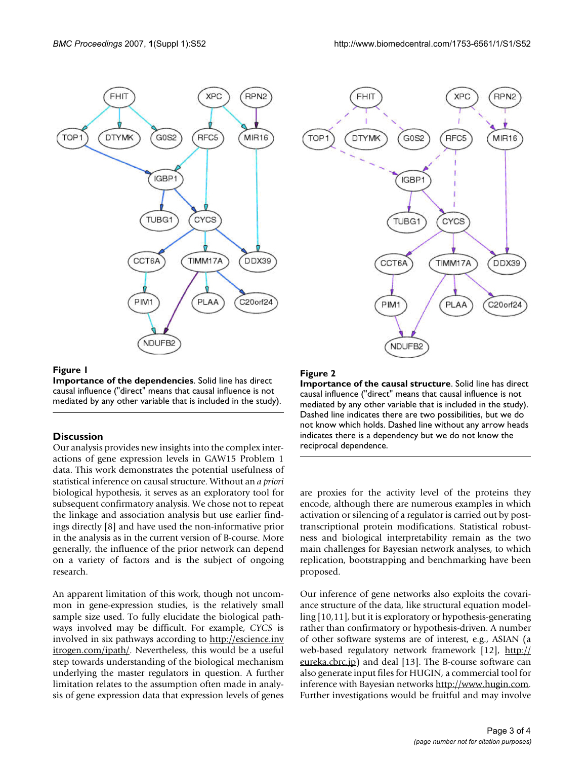

#### **Figure 1**

**Importance of the dependencies**. Solid line has direct causal influence ("direct" means that causal influence is not mediated by any other variable that is included in the study).

# **Discussion**

Our analysis provides new insights into the complex interactions of gene expression levels in GAW15 Problem 1 data. This work demonstrates the potential usefulness of statistical inference on causal structure. Without an *a priori* biological hypothesis, it serves as an exploratory tool for subsequent confirmatory analysis. We chose not to repeat the linkage and association analysis but use earlier findings directly [8] and have used the non-informative prior in the analysis as in the current version of B-course. More generally, the influence of the prior network can depend on a variety of factors and is the subject of ongoing research.

An apparent limitation of this work, though not uncommon in gene-expression studies, is the relatively small sample size used. To fully elucidate the biological pathways involved may be difficult. For example, *CYCS* is involved in six pathways according to [http://escience.inv](http://escience.invitrogen.com/ipath/) [itrogen.com/ipath/](http://escience.invitrogen.com/ipath/). Nevertheless, this would be a useful step towards understanding of the biological mechanism underlying the master regulators in question. A further limitation relates to the assumption often made in analysis of gene expression data that expression levels of genes



# **Figure 2**

**Importance of the causal structure**. Solid line has direct causal influence ("direct" means that causal influence is not mediated by any other variable that is included in the study). Dashed line indicates there are two possibilities, but we do not know which holds. Dashed line without any arrow heads indicates there is a dependency but we do not know the reciprocal dependence.

are proxies for the activity level of the proteins they encode, although there are numerous examples in which activation or silencing of a regulator is carried out by posttranscriptional protein modifications. Statistical robustness and biological interpretability remain as the two main challenges for Bayesian network analyses, to which replication, bootstrapping and benchmarking have been proposed.

Our inference of gene networks also exploits the covariance structure of the data, like structural equation modelling [10,11], but it is exploratory or hypothesis-generating rather than confirmatory or hypothesis-driven. A number of other software systems are of interest, e.g., ASIAN (a web-based regulatory network framework [12], [http://](http://eureka.cbrc.jp) [eureka.cbrc.jp\)](http://eureka.cbrc.jp) and deal [13]. The B-course software can also generate input files for HUGIN, a commercial tool for inference with Bayesian networks [http://www.hugin.com.](http://www.hugin.com) Further investigations would be fruitful and may involve